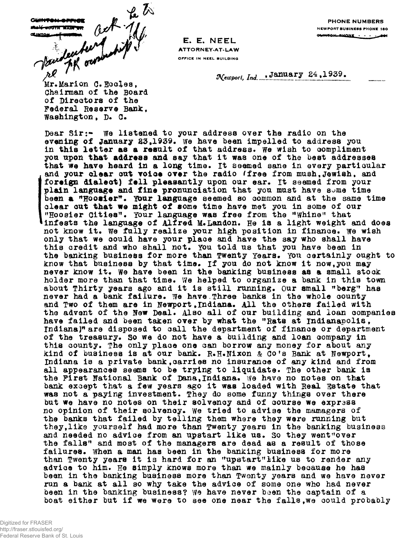Mary Hard with the to

**E. E. NEEL ATTORNEY-AT-LAW OFFICE IN NEEL BUILDING**

**PHONE NUMBERS NEWPORT BUSINESS PHONE 180** OUNTON, RUONE . . .

Newport, Ind., January 24, 1939.

**Chairman of the Board of Directors of the Federal Reserve Bank, Washingtonf D. Q.**

**Dear Sir:- We listened to your address over the radio on the evening of January £3,1939. we have been impelled to address you in this letter as a result of that address, we wish to compliment you upon that address and say that it was one of the best addresses that we have heard in a long time. It seemed sane in every particular and your clear cut voice over the radio 'free from mush,Jewish. and foreign dialect) fell pleasantly upon our ear. It seemed from your plain language and fine pronunciation that you must have some time** been a "Hoosier". Your language seemed so common and at the same time **clear cut that we might of some time have met you in some of our "Hoosier Cities<sup>11</sup>. Your language was free from the "Whine" that infests the language of Alfred M. Landon. He is a light weight and does** not know it. We fully realize your high position in finance. We wish **only that we could have your place and have the say who shall have this credit and who shall not. YOU told us that you have been in** the banking business for more than Twenty Years. You certainly ought to know that business by that time. If you do not know it now, you may **never know it. we have been in the banking business as a small stock holder more than that time. We helped to organize a bank in this town about Thirty years ago and it is still running, our small "berg" has never had a bank failure. We have.Three banks in the whole county** and Two of them are in Newport, Indiana. All the others failed with **the advent of the New Deal. Also all of our building and loan companies have failed and heen taken over by what the "Rats at Indianapolis, Indiana)" are disposed to call the department of finance or department of the treasury. So we do not have a building and loan company in this county. The only place one can borrow any money for about any kind of business is at our bank. R.H\*Fixon & Co<sup>f</sup>s Bank at Newport<sup>t</sup> Indiana is a private bank,carries no insurance of any kind and from all appearances seems to be trying to liquidate. The other bank is** the First National Bank of Dana, Indiana. We have no notes on that **bank except that a few years ago it was loaded with Real Estate that was not a paying investment. They do some funny things over there but we have no notes on their solvency and of course we exprass no opinion of their solvency. We tried to advise the mamagers of the banks that failed by telling them where they were running but theyflike yourself had more than Twenty years in the banking business** and needed no advice from an upstart like us. So they went**"over the falls" and most of the managers are dead as a result of those failures. When a man has been in the banking business for more than Twenty years it is hard for an "upstart "like us to render any advioe to him. He simply knows more than we mainly because he has been in the banking business more than Twenty years and we have never run a bank at all so why take the advice of some one who had never been in the banking business? We have never been the captain of a boat either but if we were to see one near the falls,we oould probably**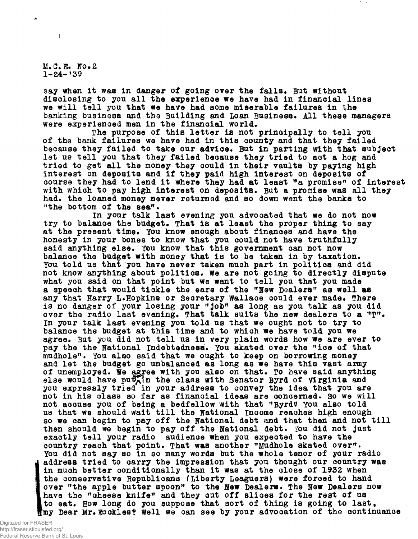**M.C. E. No.2 1-24-<sup>f</sup>39**

 $\mathbf{I}$ 

**say when it was in danger of going over the falls. But without disclosing to you all the experience we have had in financial lines we will tell you that we have had some miserable failures in the banking business and the Building and Loan Business, All these managers were experienced men in the financial world,**

**The purpose of this letter is not principally to tell you of the bank failures we have had in this county and that they failed because they failed to take our advice. But in patting with that subject let us tell you that they failed because they tried to act a hog and tried to get all the money they could in their vaults by paying high interest on deposits and if they paid high interest on deposits of** course they had to lend it where they had at least "a promise" of interest **with which to pay high interest on deposits. But a promise was all they had, the loaned money never returned and so down went the banks to** "the bottom of the sea".

**in your talk last evening you advocated that we do not now try to balance the budget. That is at least the proper thing to say at the present time. You know enough about finances and have the honesty in your bones to know that you could not have truthfully said anything else. You know that this government can not now balance the budget with money that is to be taken in by taxation.** You told us that you have never taken much part in politics and did **not know anything about politics. We are not going to directly dispute what you said on that point but we want to tell you that you made a speech that would tickle the ears of the "New Dealers<sup>11</sup> as well as any that Harry L\*Hopkins or Secretary Wallace could ever made, There is no danger of your losing your** "job" as long as you talk as you did **over the radio last evening, That talk suits the new dealers to a ffT f% In your talk last evening you told us that we ought not to try to balance the budget at this time and to which we have told you we agree. But you did not tell us in very plain words how we are ever to pay the the National indebtedness. You skated over the ffice of that mudhole<sup>11</sup>. You also said that we ought to keep on borrowing money and let the budget go unbalanced as long as we have this vast army of unemployed. We agree with you also on that. To have said anything** else would have puthin the class with Senator Byrd of Virginia and **you expressly tried in your address to convey the idea that you are not in his class so far as financial ideas are concerned. So we will not accuse you of being a bedfellow with that "ByrdV YOU also told us that we should wait till the National income reaches high enough so we can begin to pay off the National debt and that then and not till then should me begin to pay off the National debt, fou did not just exactly tell your radio audience when you expected to have the country reach that point. That was another "Mudhole skated over\*\* You did not say so in so many words but the whole tenor of your radio address tried to carry the impression that you thought our country was in much better conditionally than it was at the close of 1932 when the conservative Bepublicans (Liberty Leaguers) were forced to hand over "the apple butter spoon\*<sup>1</sup> to the New Dealers. The New Dealers now have the "cheese knife" and they cut off slices for the rest of us to eat. How long do you suppose that sort of thing is going to last<sup>f</sup> fmy Dear Mr,Eockles? Well we can see by your advocation of the continuance**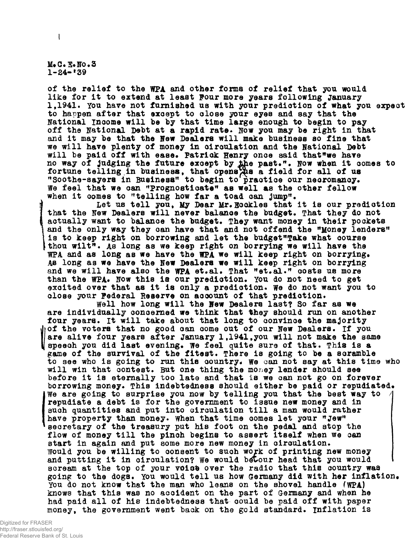**MtC\*3\*No.3 1-24-\*39**

ŧ

**of the relief to the WPA and other forms of relief that you would like for it to extend at least Four more years following January 1,1941. You have not furnished us with your prediction of what you expect to happen after that except to close your eyes and say that the National income will be by that time large enough to begin to pay** off the National Debt at a rapid rate. Now you may be right in that **and it may be that the New Dealers will make business so fine that we will have plenty of money in circulation and the National Debt** will be paid off with ease. Patrick Henry once said that"we have no way of judging the future except by the past.". Now when it comes to fortune telling in business, that openstie a field for all of us **"Soothe-sayers in Business" to begin to practice our necromancy. We feel that we can "Prognosticate" as well as the other fellow when it comes to "telling how far a toad can jump".**

Let us tell you, My Dear Mr. Bookles that it is our prediction **that the New Dealers will never balance the budget. That they do not actually want to balance the budget. They want money in their pockets and the only way they can have that and not offend the "Money lenders" is to keep right on borrowing and let the budget"Take what course ithou wilt<sup>11</sup>. As long as we keep right on borrying we will have the** WPA and as long as we have the WPA we will keep right on borrying. **As long as we have the New Dealers we will keep right on borrying and we will have also the WPA et.al. That "et.al." costs us more** than the WPA. Now this is our prediction. You do not need to get excited over that as it is only a prediction. We do not want you to close your Federal Reserve on account of that prediction.

**Well how long will the New Dealers last? So far as we are individually concerned we think that they should run on another four years. It will take about that long to convince the majority of the voters that no good can come out of our New Dealers. If you are alive four years after January 1,1941fyou will not make the same** speech you did last evening. We feel quite sure of that. This is a **game of the survival of the fltest. There is going to be a scramble to see who is going to run this country. We can not say at this time who will win that contest. But one thing the money lender should see before it is eternally too late and that is we can not go on forever borrowing money. This indebtedness should either be paid or repudiated\* We are going to surprise you now by telling you that the best way to repudiate a debt is for the government to issue new money and in such quantities and put into circulation till a man would rather have property than money. When that time comes let your "Jew" secretary of the treasury put his foot on the pedal and stop the flow of money till the pinch begins to assert itself when we can start in again and put some more new money in circulation. Would you be willing to consent to such work of printing new money and putting it in circulation? We would b^tour head that you would scream at the top of your voiofe over the radio that this country was going to the dogs. You would tell us how Germany did with her inflation\* You do not know that the man who leans on the shovel handle (WPA) knows that this was no accident on the part of Germany and when he had paid all of his indebtedness that could be paid off with paper moneyf the government went baok on the gold standard, inflation is**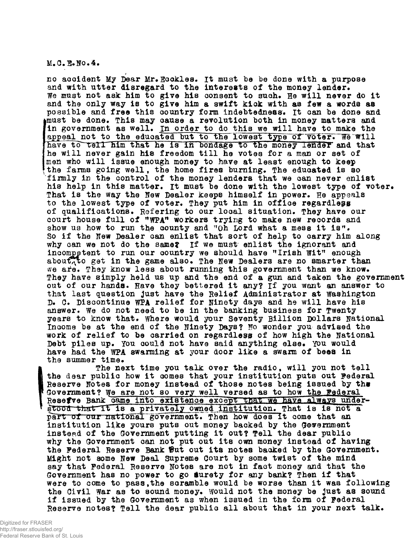M.C.E.No.4.

no accident My Dear Mr. Ecckles. It must be be done with a purpose and with utter disregard to the interests of the money lender. We must not ask him to give his consent to such. He will never do it and the only way is to give him a swift kick with as few a words as possible and free this country form indebtedness. It can be done and must be done. This may cause a revolution both in money matters and in government as well. In order to do this we will have to make the appeal not to the educated but to the lowest type of voter. We will have to tell him that he is in bondage to the money lender and that he will never gain his freedom till he votes for a man or set of men who will issue enough money to have at least enough to keep the farms going well, the home fires burning. The educated is so firmly in the control of the money lenders that we can never enlist his help in this matter. It must be done with the lowest type of voter. That is the way the New Dealer keeps himself in power. He appeals to the lowest type of voter. They put him in office regardlepg of qualifications. Refering to our local situation. They have our court house full of "WPA" workers trying to make new records and show us how to run the county and "Oh Lord what a mess it is". So if the New Dealer can enlist that sort of help to carry him along why can we not do the same? If we must enlist the ignorant and incompetent to run our country we should have "Irish Wit" enough about, to get in the game also. The New Dealers are no smarter than we are. They know less about running this government than we know. They have simply held us up and the end of a gun and taken the government out of our hands. Have they bettered it any? If you want an answer to that last question just have the Belief Administrator at Washington D. C. Discontinue WPA relief for Ninety days and he will have his answer. We do not need to be in the banking business for Twenty years to know that. Where would your Seventy Billion Dollars National Income be at the end of the Ninety Days? No wonder you advised the work of relief to he carried on regardless of how high the National Debt piles up. You could not have said anything else^ You would have had the WPA swarming at your door like a swarm of bees in the summer time.

The next time you talk over the radio, will you not tell the dear public how it comes that your institution puts out Federal Reserve Notes for money instead of those notes being issued by the Government? We are not so very well versed as to how the Federal Resefve Bank came into existence except that we have always under-<br>stood that It is a privately owned institution. That is is not a part of our national government. Then how does It come that an institution like yours puts out money backed by the Gewernment instead of the Government putting it out? Tell the dear public why the Government can not put out its own money instead of having the Federal Reserve Bank Out out its notes backed by the Government. Might not some New Deal Supreme Court by some twist of the mind say that Federal Beserve Notes are not in fact money and that the Government has no power to go surety for any bank? Then if that were to come to pass,the scramble would be worse than it was following the Civil War as to sound money. Would not the money be just as sound if issued by the Government as when issued in the form of Federal Reserve notes? Tell the dear public all about that in your next talk.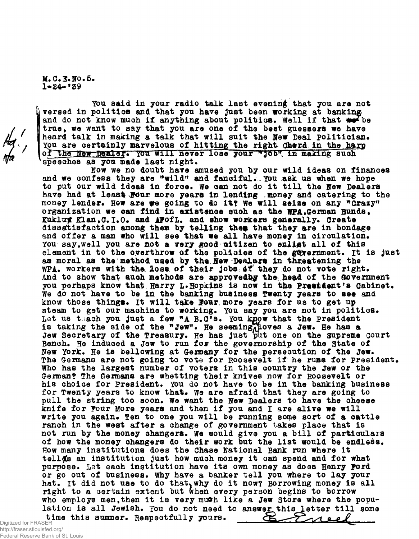M.C.E.No.5.  $1 - 24 - 139$ 

 $\frac{1}{\sqrt{2}}$ 

You said in your radio talk last evening that you are not versed in politics and that you have just been working at banking and do not know much if anything about politics. Well if that we be true, we want to say that you are one of the best guessers we have heard talk in making a talk that will suit the New Deal Politician. You are certainly marvelous of hitting the right Cherd in the harp of the New Dealer. You will never lose your "Job" in making such speeches as you made last night.

Now we no doubt have amused you by our wild ideas on finances and we confess they are "wild" and fanciful. You ask us when we hope to put our wild ideas in force. We can not do it till the New Dealers have had at least Four more years in lending money and catering to the money lender. How are we going to do it? We will aeize on any "Crazy" organization we can find in existence such as the WPA.German Bunda, Kuklux Klan, C.I.O. and AFofL. and show workers generally. Create dissatisfaction among them by telling them that they are in bondage and offer a man who will see that we all have money in circulation. You say, well you are not a very good citizen to enligt all of this element in to the overthrow of the policies of the government. It is just as moral as the method used by the New Dealars in threatening the WPA. workers with the loss of their jobs at they do not vote right. And to show that auch methods are approvedby the head of the Government you perhaps know that Harry L. Hopkins is now in the President's Cabinet. We do not have to be in the banking business Twenty years to see and know those things. It will take Four more years for us to get up steam to get our machine to working. You say you are not in politics. Let us teach you just a few "A B.C's. You know that the President is taking the side of the "Jew". He seeming loves a Jew. He has a Jew Secretary of the Treasury. He has just put one on the Supreme Court Bench. He induced a Jew to run for the governorship of the State of New York. He is bellowing at Germany for the persecution of the Jew. The Germans are not going to vote for Roosevelt if he rums for President. Who has the largest number of voters in this country the Jew or the German? The Germans are whetting their knives now for Roosevelt or his choice for President. You do not have to be in the banking business for Twenty years to know that. We are afraid that they are going to pull the string too soon. We want the New Dealers to have the cheese knife for Four More years and then if you and I are alive we will write you again. Ten to one you will be running some sort of a cattle ranch in the west after a change of government takes place that is not run by the money changers. We would give you a bill of particulars of how the money changers do their work but the list would be endless. How many institutions does the Chase National Bank run where it tella's an institution just how much money it can spend and for what purpose. Let each institution have its own money as does Henry Ford or go out of business. Why have a banker tell you where to lay your hat. It did not use to do that, why do it now? Borrowing money is all right to a certain extent but when every person begins to borrow who employs men, then it is very much like a Jew Store where the population is all Jewish. You do not need to answer this letter till some Eneel time this summer. Respectfully yours. ⋐

Digitized for FRASER http://fraser.stlouisfed.org/ Federal Reserve Bank of St. Louis